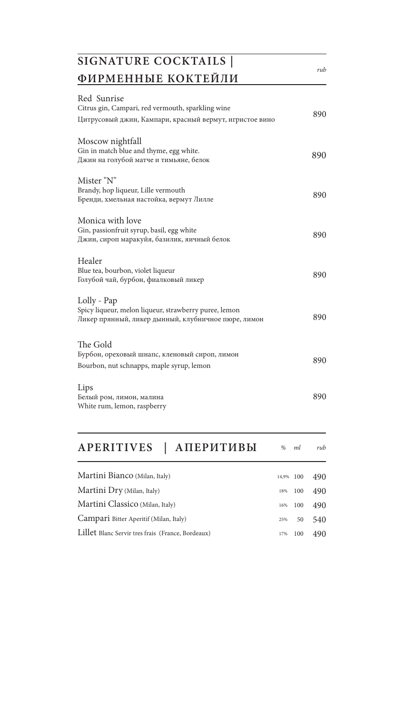| SIGNATURE COCKTAILS                                                                                                         |     |
|-----------------------------------------------------------------------------------------------------------------------------|-----|
| ФИРМЕННЫЕ КОКТЕЙЛИ                                                                                                          | rub |
| Red Sunrise<br>Citrus gin, Campari, red vermouth, sparkling wine<br>Цитрусовый джин, Кампари, красный вермут, игристое вино | 890 |
| Moscow nightfall<br>Gin in match blue and thyme, egg white.<br>Джин на голубой матче и тимьяне, белок                       | 890 |
| Mister "N"<br>Brandy, hop liqueur, Lille vermouth<br>Бренди, хмельная настойка, вермут Лилле                                | 890 |
| Monica with love<br>Gin, passionfruit syrup, basil, egg white<br>Джин, сироп маракуйя, базилик, яичный белок                | 890 |
| Healer<br>Blue tea, bourbon, violet liqueur<br>Голубой чай, бурбон, фиалковый ликер                                         | 890 |
| Lolly - Pap<br>Spicy liqueur, melon liqueur, strawberry puree, lemon<br>Ликер прянный, ликер дынный, клубничное пюре, лимон | 890 |
| The Gold<br>Бурбон, ореховый шнапс, кленовый сироп, лимон<br>Bourbon, nut schnapps, maple syrup, lemon                      | 890 |
| Lips<br>Белый ром, лимон, малина<br>White rum, lemon, raspberry                                                             | 890 |

| APERITIVES<br>АПЕРИТИВЫ                           | $\%$  | ml  | rub |
|---------------------------------------------------|-------|-----|-----|
| Martini Bianco (Milan, Italy)                     | 14.9% | 100 | 490 |
| Martini Dry (Milan, Italy)                        | 18%   | 100 | 490 |
| Martini Classico (Milan, Italy)                   | 16%   | 100 | 490 |
| Campari Bitter Aperitif (Milan, Italy)            | 25%   | 50  | 540 |
| Lillet Blanc Servir tres frais (France, Bordeaux) | 17%   | 100 | 490 |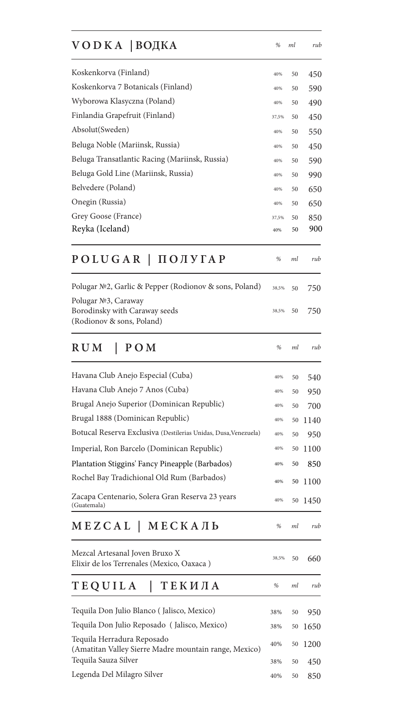| $VODKA$   ВОДКА                                                                     | %     | ml | rub  |
|-------------------------------------------------------------------------------------|-------|----|------|
| Koskenkorva (Finland)                                                               | 40%   | 50 | 450  |
| Koskenkorva 7 Botanicals (Finland)                                                  | 40%   | 50 | 590  |
| Wyborowa Klasyczna (Poland)                                                         | 40%   | 50 | 490  |
| Finlandia Grapefruit (Finland)                                                      | 37,5% | 50 | 450  |
| Absolut(Sweden)                                                                     | 40%   | 50 | 550  |
| Beluga Noble (Mariinsk, Russia)                                                     | 40%   | 50 | 450  |
| Beluga Transatlantic Racing (Mariinsk, Russia)                                      | 40%   | 50 | 590  |
| Beluga Gold Line (Mariinsk, Russia)                                                 | 40%   | 50 | 990  |
| Belvedere (Poland)                                                                  | 40%   | 50 | 650  |
| Onegin (Russia)                                                                     | 40%   | 50 | 650  |
| Grey Goose (France)                                                                 | 37,5% | 50 | 850  |
| Reyka (Iceland)                                                                     | 40%   | 50 | 900  |
| POLUGAR   ПОЛУГАР                                                                   | %     | ml | rub  |
| Polugar №2, Garlic & Pepper (Rodionov & sons, Poland)                               | 38,5% | 50 | 750  |
| Polugar №3, Caraway<br>Borodinsky with Caraway seeds<br>(Rodionov & sons, Poland)   | 38,5% | 50 | 750  |
| R U M<br>POM<br>L                                                                   | %     | ml | rub  |
| Havana Club Anejo Especial (Cuba)                                                   | 40%   | 50 | 540  |
| Havana Club Anejo 7 Anos (Cuba)                                                     | 40%   | 50 | 950  |
| Brugal Anejo Superior (Dominican Republic)                                          | 40%   | 50 | 700  |
| Brugal 1888 (Dominican Republic)                                                    | 40%   | 50 | 1140 |
| Botucal Reserva Exclusiva (Destilerias Unidas, Dusa, Venezuela)                     | 40%   | 50 | 950  |
| Imperial, Ron Barcelo (Dominican Republic)                                          | 40%   | 50 | 1100 |
| Plantation Stiggins' Fancy Pineapple (Barbados)                                     | 40%   | 50 | 850  |
| Rochel Bay Tradichional Old Rum (Barbados)                                          | 40%   | 50 | 1100 |
| Zacapa Centenario, Solera Gran Reserva 23 years<br>(Guatemala)                      | 40%   | 50 | 1450 |
| MEZCAL   MECKAЛЬ                                                                    | %     | ml | rub  |
| Mezcal Artesanal Joven Bruxo X<br>Elixir de los Terrenales (Mexico, Oaxaca)         | 38,5% | 50 | 660  |
| TEQUILA<br>ТЕКИЛА                                                                   | %     | ml | rub  |
| Tequila Don Julio Blanco (Jalisco, Mexico)                                          | 38%   | 50 | 950  |
| Tequila Don Julio Reposado (Jalisco, Mexico)                                        | 38%   | 50 | 1650 |
| Tequila Herradura Reposado<br>(Amatitan Valley Sierre Madre mountain range, Mexico) | 40%   | 50 | 1200 |
| Tequila Sauza Silver                                                                | 38%   | 50 | 450  |
| Legenda Del Milagro Silver                                                          | 40%   | 50 | 850  |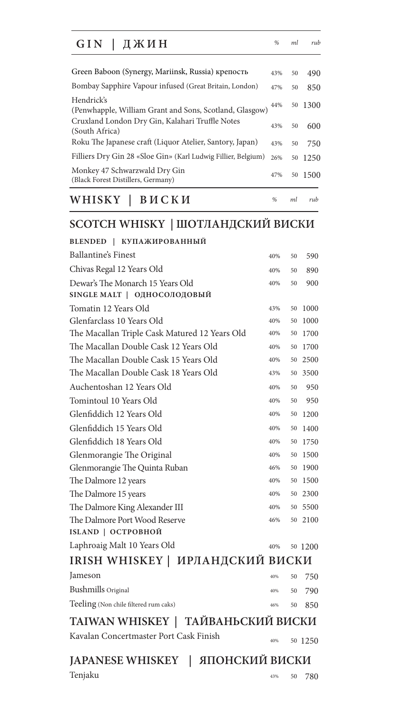| ДЖИН<br>GIN                                                                                                               | %          | ml       | rub         |
|---------------------------------------------------------------------------------------------------------------------------|------------|----------|-------------|
| Green Baboon (Synergy, Mariinsk, Russia) крепость                                                                         | 43%        | 50       | 490         |
| Bombay Sapphire Vapour infused (Great Britain, London)<br>Hendrick's                                                      | 47%        | 50       | 850         |
| (Penwhapple, William Grant and Sons, Scotland, Glasgow)<br>Cruxland London Dry Gin, Kalahari Truffle Notes                | 44%        | 50       | 1300        |
| (South Africa)                                                                                                            | 43%        | 50       | 600         |
| Roku The Japanese craft (Liquor Atelier, Santory, Japan)<br>Filliers Dry Gin 28 «Sloe Gin» (Karl Ludwig Fillier, Belgium) | 43%<br>26% | 50<br>50 | 750<br>1250 |
| Monkey 47 Schwarzwald Dry Gin<br>(Black Forest Distillers, Germany)                                                       | 47%        | 50       | 1500        |
| WHISKY<br>ВИСКИ                                                                                                           | %          | ml       | rub         |

## **SCOTCH WHISKY | ШОТЛАНДСКИЙ ВИСКИ**

| BLENDED   КУПАЖИРОВАННЫЙ                      |     |    |         |
|-----------------------------------------------|-----|----|---------|
| <b>Ballantine's Finest</b>                    | 40% | 50 | 590     |
| Chivas Regal 12 Years Old                     | 40% | 50 | 890     |
| Dewar's The Monarch 15 Years Old              | 40% | 50 | 900     |
| SINGLE MALT   ОДНОСОЛОДОВЫЙ                   |     |    |         |
| Tomatin 12 Years Old                          | 43% | 50 | 1000    |
| Glenfarclass 10 Years Old                     | 40% | 50 | 1000    |
| The Macallan Triple Cask Matured 12 Years Old | 40% | 50 | 1700    |
| The Macallan Double Cask 12 Years Old         | 40% | 50 | 1700    |
| The Macallan Double Cask 15 Years Old         | 40% | 50 | 2500    |
| The Macallan Double Cask 18 Years Old         | 43% | 50 | 3500    |
| Auchentoshan 12 Years Old                     | 40% | 50 | 950     |
| Tomintoul 10 Years Old                        | 40% | 50 | 950     |
| Glenfiddich 12 Years Old                      | 40% | 50 | 1200    |
| Glenfiddich 15 Years Old                      | 40% | 50 | 1400    |
| Glenfiddich 18 Years Old                      | 40% | 50 | 1750    |
| Glenmorangie The Original                     | 40% | 50 | 1500    |
| Glenmorangie The Quinta Ruban                 | 46% | 50 | 1900    |
| The Dalmore 12 years                          | 40% | 50 | 1500    |
| The Dalmore 15 years                          | 40% | 50 | 2300    |
| The Dalmore King Alexander III                | 40% | 50 | 5500    |
| The Dalmore Port Wood Reserve                 | 46% | 50 | 2100    |
| ISLAND   ОСТРОВНОЙ                            |     |    |         |
| Laphroaig Malt 10 Years Old                   | 40% |    | 50 1200 |
| IRISH WHISKEY   ИРЛАНДСКИЙ ВИСКИ              |     |    |         |
| Jameson                                       | 40% | 50 | 750     |
| <b>Bushmills</b> Original                     | 40% | 50 | 790     |
| Teeling (Non chile filtered rum caks)         | 46% | 50 | 850     |
| TAIWAN WHISKEY   ТАЙВАНЬСКИЙ ВИСКИ            |     |    |         |
| Kavalan Concertmaster Port Cask Finish        | 40% |    | 50 1250 |
|                                               |     |    |         |

**JAPANESE WHISKEY | ЯПОНСКИЙ ВИСКИ**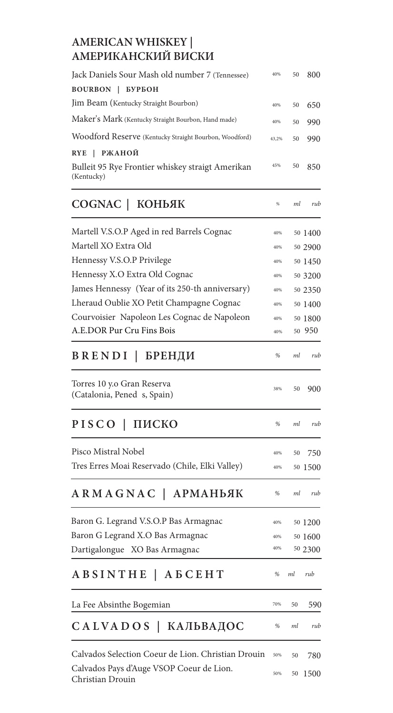#### **AMERICAN WHISKEY | АМЕРИКАНСКИЙ ВИСКИ**

| Jack Daniels Sour Mash old number 7 (Tennessee)                | 40%   | 50 | 800     |
|----------------------------------------------------------------|-------|----|---------|
| <b>BOURBON</b><br>БУРБОН<br>I                                  |       |    |         |
| Jim Beam (Kentucky Straight Bourbon)                           | 40%   | 50 | 650     |
| Maker's Mark (Kentucky Straight Bourbon, Hand made)            | 40%   | 50 | 990     |
| Woodford Reserve (Kentucky Straight Bourbon, Woodford)         | 43,2% | 50 | 990     |
| РЖАНОЙ<br><b>RYE</b>                                           |       |    |         |
| Bulleit 95 Rye Frontier whiskey straigt Amerikan<br>(Kentucky) | 45%   | 50 | 850     |
| COGNAC   КОНЬЯК                                                | $\%$  | ml | rub     |
| Martell V.S.O.P Aged in red Barrels Cognac                     | 40%   |    | 50 1400 |
| Martell XO Extra Old                                           | 40%   |    | 50 2900 |
| Hennessy V.S.O.P Privilege                                     | 40%   |    | 50 1450 |
| Hennessy X.O Extra Old Cognac                                  | 40%   |    | 50 3200 |
| James Hennessy (Year of its 250-th anniversary)                | 40%   |    | 50 2350 |
| Lheraud Oublie XO Petit Champagne Cognac                       | 40%   |    | 50 1400 |
| Courvoisier Napoleon Les Cognac de Napoleon                    | 40%   |    | 50 1800 |
| A.E.DOR Pur Cru Fins Bois                                      | 40%   |    | 50 950  |
| BRENDI  <br>БРЕНДИ                                             | %     | ml | rub     |
| Torres 10 y.o Gran Reserva<br>(Catalonia, Pened s, Spain)      | 38%   | 50 | 900     |
| PISCO<br>ПИСКО                                                 | %     | ml | rub     |
| Pisco Mistral Nobel                                            | 40%   | 50 | 750     |
| Tres Erres Moai Reservado (Chile, Elki Valley)                 | 40%   |    | 50 1500 |
| ARMAGNAC  <br><b>АРМАНЬЯК</b>                                  | %     | ml | rub     |
| Baron G. Legrand V.S.O.P Bas Armagnac                          | 40%   |    | 50 1200 |
| Baron G Legrand X.O Bas Armagnac                               | 40%   |    | 50 1600 |
| Dartigalongue XO Bas Armagnac                                  | 40%   |    | 50 2300 |
| ABSINTHE   ABCEHT                                              | %     | ml | rub     |
| La Fee Absinthe Bogemian                                       | 70%   | 50 | 590     |
| САLVADOS   КАЛЬВАДОС                                           | %     | ml | rub     |
| Calvados Selection Coeur de Lion. Christian Drouin             | 50%   | 50 | 780     |
| Calvados Pays d'Auge VSOP Coeur de Lion.<br>Christian Drouin   | 50%   | 50 | 1500    |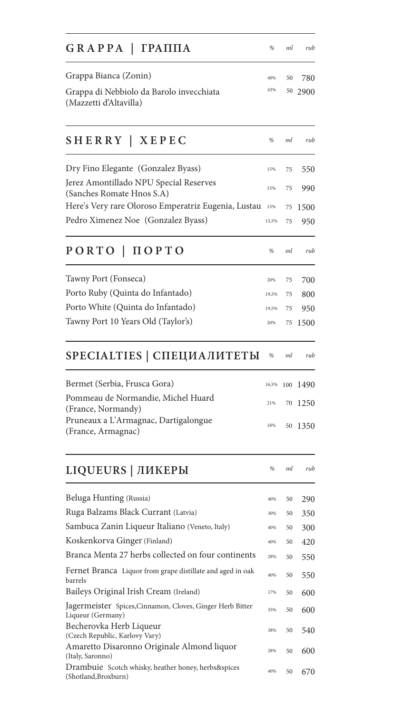| GRAPPA   ГРАППА                                                                  | %     | ml  | rub  |
|----------------------------------------------------------------------------------|-------|-----|------|
| Grappa Bianca (Zonin)                                                            | 40%   | 50  | 780  |
| Grappa di Nebbiolo da Barolo invecchiata<br>(Mazzetti d'Altavilla)               | 43%   | 50  | 2900 |
| SHERRY   XEPEC                                                                   | %     | ml  | rub  |
| Dry Fino Elegante (Gonzalez Byass)                                               | 15%   | 75  | 550  |
| Jerez Amontillado NPU Special Reserves                                           | 15%   | 75  | 990  |
| (Sanches Romate Hnos S.A)<br>Here's Very rare Oloroso Emperatriz Eugenia, Lustau | 15%   | 75  | 1500 |
| Pedro Ximenez Noe (Gonzalez Byass)                                               | 15,5% | 75  | 950  |
| PORTO   ΠΟΡΤΟ                                                                    | %     | ml  | rub  |
| Tawny Port (Fonseca)                                                             | 20%   | 75  | 700  |
| Porto Ruby (Quinta do Infantado)                                                 | 19,5% | 75  | 800  |
| Porto White (Quinta do Infantado)                                                | 19,5% | 75  | 950  |
| Tawny Port 10 Years Old (Taylor's)                                               | 20%   | 75  | 1500 |
| SPECIALTIES   СПЕЦИАЛИТЕТЫ                                                       | %     | ml  | rub  |
| Bermet (Serbia, Frusca Gora)                                                     | 16,5% | 100 | 1490 |
| Pommeau de Normandie, Michel Huard                                               | 21%   | 70  | 1250 |
| (France, Normandy)<br>Pruneaux a L'Armagnac, Dartigalongue<br>(France, Armagnac) | 18%   | 50  | 1350 |
| LIQUEURS   ЛИКЕРЫ                                                                | %     | ml  | rub  |
| Beluga Hunting (Russia)                                                          | 40%   | 50  | 290  |
| Ruga Balzams Black Currant (Latvia)                                              | 30%   | 50  | 350  |
| Sambuca Zanin Liqueur Italiano (Veneto, Italy)                                   | 40%   | 50  | 300  |
| Koskenkorva Ginger (Finland)                                                     | 40%   | 50  | 420  |
| Branca Menta 27 herbs collected on four continents                               | 28%   | 50  | 550  |
| Fernet Branca Liquor from grape distillate and aged in oak<br>barrels            | 40%   | 50  | 550  |
| Baileys Original Irish Cream (Ireland)                                           | 17%   | 50  | 600  |
| Jagermeister Spices, Cinnamon, Cloves, Ginger Herb Bitter<br>Liqueur (Germany)   | 35%   | 50  | 600  |
| Becherovka Herb Liqueur<br>(Czech Republic, Karlovy Vary)                        | 38%   | 50  | 540  |
| Amaretto Disaronno Originale Almond liquor<br>(Italy, Saronno)                   | 28%   | 50  | 600  |
| Drambuie Scotch whisky, heather honey, herbs&spices<br>(Shotland, Broxburn)      | 40%   | 50  | 670  |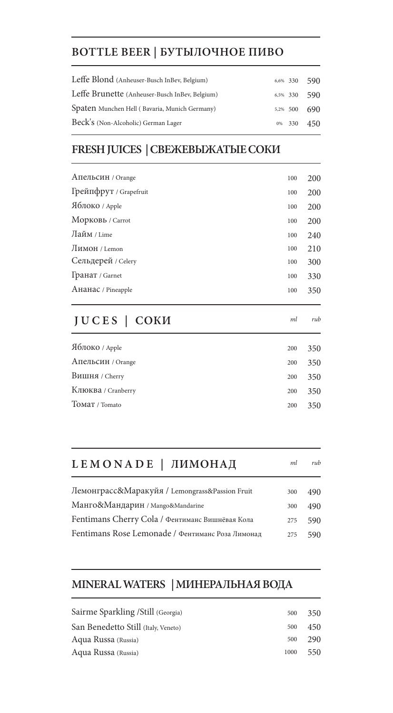# **BOTTLE BEER | БУТЫЛОЧНОЕ ПИВО**

| Leffe Blond (Anheuser-Busch InBev, Belgium)    | $6,6\%$ 330 590 |  |
|------------------------------------------------|-----------------|--|
|                                                |                 |  |
| Leffe Brunette (Anheuser-Busch InBev, Belgium) | $6,5\%$ 330 590 |  |
| Spaten Munchen Hell (Bavaria, Munich Germany)  | 5,2% 500 690    |  |
| Beck's (Non-Alcoholic) German Lager            | $0\%$ 330 450   |  |

# **FRESH JUICES | СВЕЖЕВЫЖАТЫЕ СОКИ**

| JUCES   COKM           | ml  | rub |
|------------------------|-----|-----|
| Ананас / Pineapple     | 100 | 350 |
| Гранат / Garnet        | 100 | 330 |
| Сельдерей / Celery     | 100 | 300 |
| Лимон / Lemon          | 100 | 210 |
| Лайм / Lime            | 100 | 240 |
| Морковь / Carrot       | 100 | 200 |
| Яблоко / Apple         | 100 | 200 |
| Грейпфрут / Grapefruit | 100 | 200 |
| АПельсин / Orange      | 100 | 200 |
|                        |     |     |

| Яблоко / Apple     | 200 | 350 |
|--------------------|-----|-----|
| Апельсин / Orange  | 200 | 350 |
| Вишня / Cherry     | 200 | 350 |
| Клюква / Cranberry | 200 | 350 |
| TOMAT / Tomato     | 200 | 350 |

| LEMONADE   ЛИМОНАД | ml rub |  |
|--------------------|--------|--|
|                    |        |  |

| Лемонграсс&Маракуйя / Lemongrass&Passion Fruit   | 300 | 490 |
|--------------------------------------------------|-----|-----|
| Манго&Мандарин / Mango&Mandarine                 | 300 | 490 |
| Fentimans Cherry Cola / Фентиманс Вишнёвая Кола  | 275 | 590 |
| Fentimans Rose Lemonade / Фентиманс Роза Лимонад | 275 | 590 |

# **MINERAL WATERS | МИНЕРАЛЬНАЯ ВОДА**

| Sairme Sparkling / Still (Georgia)  | 500  | 350 |
|-------------------------------------|------|-----|
| San Benedetto Still (Italy, Veneto) | 500  | 450 |
| Aqua Russa (Russia)                 | 500  | 290 |
| Aqua Russa (Russia)                 | 1000 | 550 |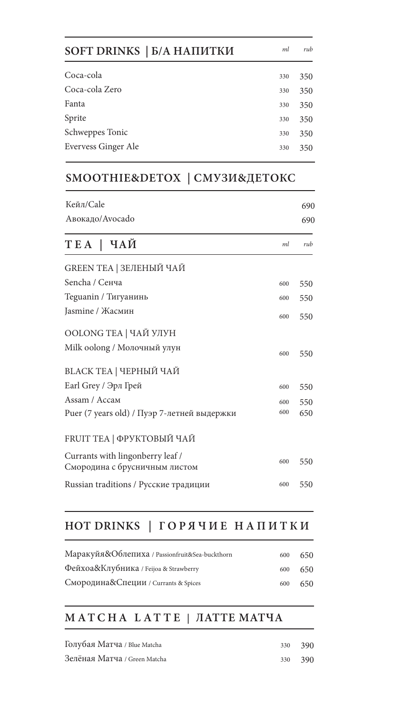| SOFT DRINKS   Б/А НАПИТКИ  | ml  | rub |
|----------------------------|-----|-----|
| Coca-cola                  | 330 | 350 |
| Coca-cola Zero<br>330      |     | 350 |
| Fanta<br>330               |     | 350 |
| Sprite<br>330              |     | 350 |
| Schweppes Tonic<br>330     |     | 350 |
| Evervess Ginger Ale<br>330 |     | 350 |

#### **SMOOTHIE&DETOX | СМУЗИ&ДЕТОКС**

| Кейл/Cale                                                         |     | 690<br>690 |
|-------------------------------------------------------------------|-----|------------|
| Авокадо/Avocado                                                   |     |            |
| ТЕА   ЧАЙ                                                         | ml  | rub        |
| GREEN TEA   ЗЕЛЕНЫЙ ЧАЙ                                           |     |            |
| Sencha / Сенча                                                    | 600 | 550        |
| Teguanin / Тигуанинь                                              | 600 | 550        |
| Jasmine / Жасмин                                                  | 600 | 550        |
| OOLONG TEA   ЧАЙ УЛУН                                             |     |            |
| Milk oolong / Молочный улун                                       | 600 | 550        |
| BLACK TEA   ЧЕРНЫЙ ЧАЙ                                            |     |            |
| Earl Grey / Эрл Грей                                              | 600 | 550        |
| Assam / Accam                                                     | 600 | 550        |
| Puer (7 years old) / Пуэр 7-летней выдержки                       | 600 | 650        |
| FRUIT TEA   ФРУКТОВЫЙ ЧАЙ                                         |     |            |
| Currants with lingonberry leaf /<br>Смородина с брусничным листом | 600 | 550        |
| Russian traditions / Русские традиции                             | 600 | 550        |

## **HOT DRINKS | Г О Р Я Ч И Е Н А П И Т К И**

| Маракуйя&Облепиха / Passionfruit&Sea-buckthorn | 600 | 650 |
|------------------------------------------------|-----|-----|
| Фейхоа&Клубника / Feijoa & Strawberry          | 600 | 650 |
| Смородина&Специи / Currants & Spices           | 600 | 650 |

#### **MATCHA LATTE | ЛАТТЕ МАТЧА**

| Голубая Матча / Blue Matcha  | 330 390 |  |
|------------------------------|---------|--|
| Зелёная Матча / Green Matcha | 330 390 |  |